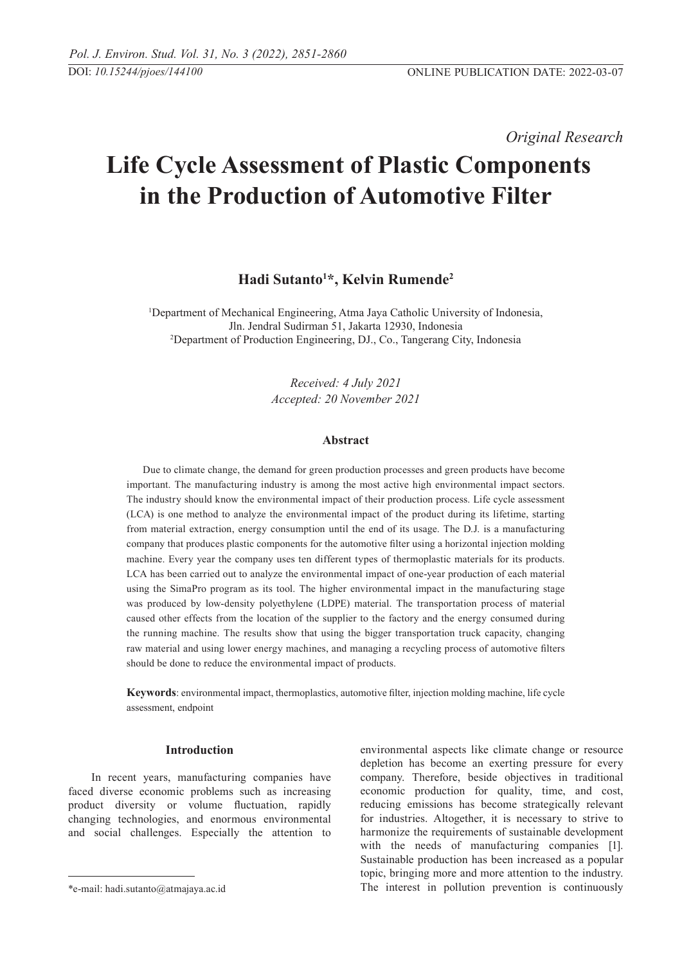*Original Research* 

# **Life Cycle Assessment of Plastic Components in the Production of Automotive Filter**

**Hadi Sutanto1 \*, Kelvin Rumende2**

<sup>1</sup>Department of Mechanical Engineering, Atma Jaya Catholic University of Indonesia, Jln. Jendral Sudirman 51, Jakarta 12930, Indonesia 2 Department of Production Engineering, DJ., Co., Tangerang City, Indonesia

> *Received: 4 July 2021 Accepted: 20 November 2021*

# **Abstract**

Due to climate change, the demand for green production processes and green products have become important. The manufacturing industry is among the most active high environmental impact sectors. The industry should know the environmental impact of their production process. Life cycle assessment (LCA) is one method to analyze the environmental impact of the product during its lifetime, starting from material extraction, energy consumption until the end of its usage. The D.J. is a manufacturing company that produces plastic components for the automotive filter using a horizontal injection molding machine. Every year the company uses ten different types of thermoplastic materials for its products. LCA has been carried out to analyze the environmental impact of one-year production of each material using the SimaPro program as its tool. The higher environmental impact in the manufacturing stage was produced by low-density polyethylene (LDPE) material. The transportation process of material caused other effects from the location of the supplier to the factory and the energy consumed during the running machine. The results show that using the bigger transportation truck capacity, changing raw material and using lower energy machines, and managing a recycling process of automotive filters should be done to reduce the environmental impact of products.

**Keywords**: environmental impact, thermoplastics, automotive filter, injection molding machine, life cycle assessment, endpoint

## **Introduction**

 In recent years, manufacturing companies have faced diverse economic problems such as increasing product diversity or volume fluctuation, rapidly changing technologies, and enormous environmental and social challenges. Especially the attention to environmental aspects like climate change or resource depletion has become an exerting pressure for every company. Therefore, beside objectives in traditional economic production for quality, time, and cost, reducing emissions has become strategically relevant for industries. Altogether, it is necessary to strive to harmonize the requirements of sustainable development with the needs of manufacturing companies [1]. Sustainable production has been increased as a popular topic, bringing more and more attention to the industry. The interest in pollution prevention is continuously

<sup>\*</sup>e-mail: hadi.sutanto@atmajaya.ac.id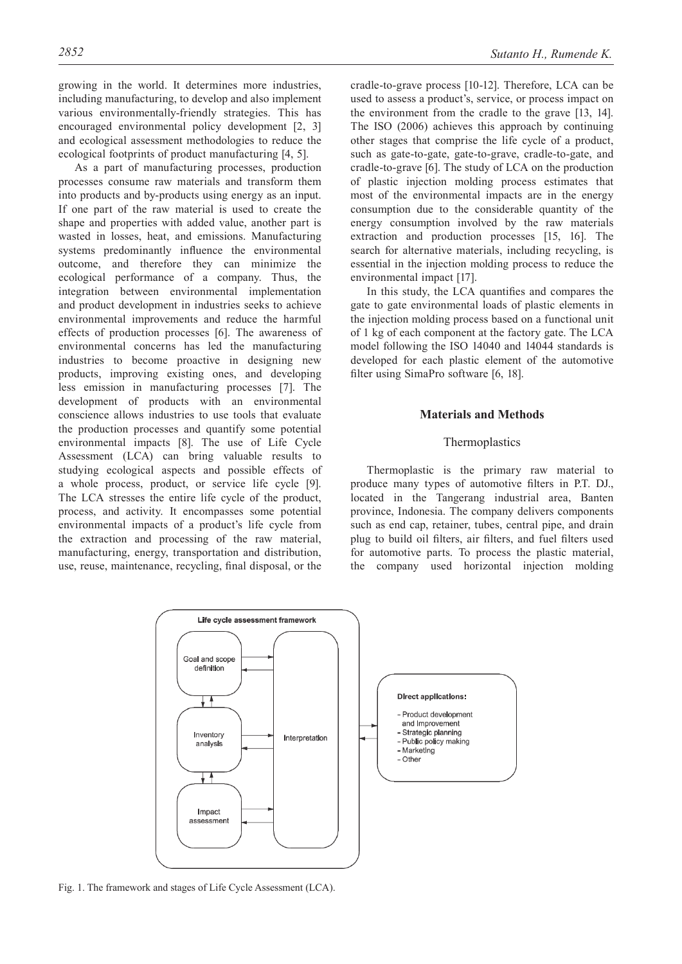growing in the world. It determines more industries, including manufacturing, to develop and also implement various environmentally-friendly strategies. This has encouraged environmental policy development [2, 3] and ecological assessment methodologies to reduce the ecological footprints of product manufacturing [4, 5].

As a part of manufacturing processes, production processes consume raw materials and transform them into products and by-products using energy as an input. If one part of the raw material is used to create the shape and properties with added value, another part is wasted in losses, heat, and emissions. Manufacturing systems predominantly influence the environmental outcome, and therefore they can minimize the ecological performance of a company. Thus, the integration between environmental implementation and product development in industries seeks to achieve environmental improvements and reduce the harmful effects of production processes [6]. The awareness of environmental concerns has led the manufacturing industries to become proactive in designing new products, improving existing ones, and developing less emission in manufacturing processes [7]. The development of products with an environmental conscience allows industries to use tools that evaluate the production processes and quantify some potential environmental impacts [8]. The use of Life Cycle Assessment (LCA) can bring valuable results to studying ecological aspects and possible effects of a whole process, product, or service life cycle [9]. The LCA stresses the entire life cycle of the product, process, and activity. It encompasses some potential environmental impacts of a product's life cycle from the extraction and processing of the raw material, manufacturing, energy, transportation and distribution, use, reuse, maintenance, recycling, final disposal, or the

cradle-to-grave process [10-12]. Therefore, LCA can be used to assess a product's, service, or process impact on the environment from the cradle to the grave [13, 14]. The ISO (2006) achieves this approach by continuing other stages that comprise the life cycle of a product, such as gate-to-gate, gate-to-grave, cradle-to-gate, and cradle-to-grave [6]. The study of LCA on the production of plastic injection molding process estimates that most of the environmental impacts are in the energy consumption due to the considerable quantity of the energy consumption involved by the raw materials extraction and production processes [15, 16]. The search for alternative materials, including recycling, is essential in the injection molding process to reduce the environmental impact [17].

In this study, the LCA quantifies and compares the gate to gate environmental loads of plastic elements in the injection molding process based on a functional unit of 1 kg of each component at the factory gate. The LCA model following the ISO 14040 and 14044 standards is developed for each plastic element of the automotive filter using SimaPro software [6, 18].

# **Materials and Methods**

### Thermoplastics

Thermoplastic is the primary raw material to produce many types of automotive filters in P.T. DJ., located in the Tangerang industrial area, Banten province, Indonesia. The company delivers components such as end cap, retainer, tubes, central pipe, and drain plug to build oil filters, air filters, and fuel filters used for automotive parts. To process the plastic material, the company used horizontal injection molding



Fig. 1. The framework and stages of Life Cycle Assessment (LCA).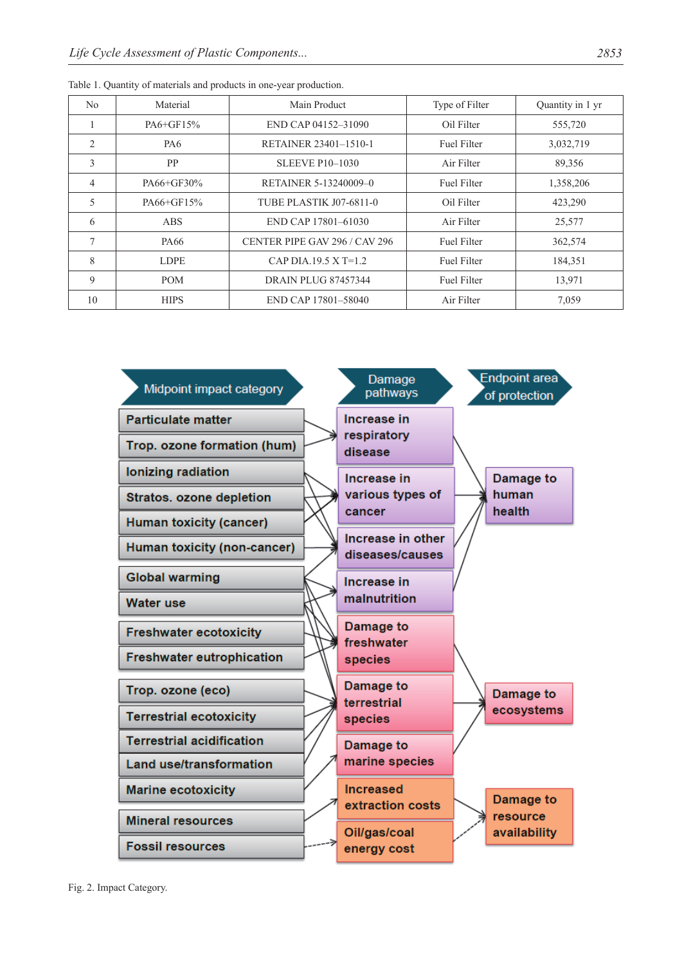| No             | Material    | Main Product                   | Type of Filter     | Quantity in 1 yr |
|----------------|-------------|--------------------------------|--------------------|------------------|
| 1              | PA6+GF15%   | END CAP 04152-31090            | Oil Filter         | 555,720          |
| $\overline{2}$ | PA6         | RETAINER 23401-1510-1          | <b>Fuel Filter</b> | 3,032,719        |
| 3              | <b>PP</b>   | <b>SLEEVE P10-1030</b>         | Air Filter         | 89,356           |
| $\overline{4}$ | PA66+GF30%  | <b>RETAINER 5-13240009-0</b>   | <b>Fuel Filter</b> | 1,358,206        |
| 5              | PA66+GF15%  | <b>TUBE PLASTIK J07-6811-0</b> | Oil Filter         | 423,290          |
| 6              | <b>ABS</b>  | END CAP 17801-61030            | Air Filter         | 25,577           |
| 7              | PA66        | CENTER PIPE GAV 296 / CAV 296  | <b>Fuel Filter</b> | 362,574          |
| 8              | <b>LDPE</b> | CAP DIA.19.5 X T=1.2           | <b>Fuel Filter</b> | 184,351          |
| 9              | <b>POM</b>  | <b>DRAIN PLUG 87457344</b>     | <b>Fuel Filter</b> | 13,971           |
| 10             | <b>HIPS</b> | END CAP 17801-58040            | Air Filter         | 7,059            |



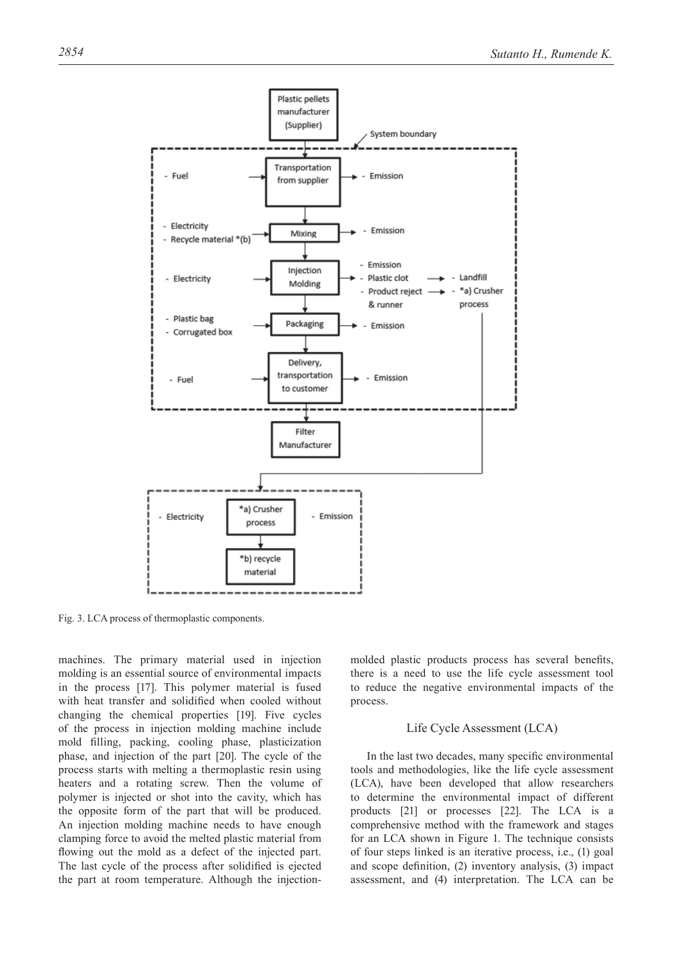

Fig. 3. LCA process of thermoplastic components.

machines. The primary material used in injection molding is an essential source of environmental impacts in the process [17]. This polymer material is fused with heat transfer and solidified when cooled without changing the chemical properties [19]. Five cycles of the process in injection molding machine include mold filling, packing, cooling phase, plasticization phase, and injection of the part [20]. The cycle of the process starts with melting a thermoplastic resin using heaters and a rotating screw. Then the volume of polymer is injected or shot into the cavity, which has the opposite form of the part that will be produced. An injection molding machine needs to have enough clamping force to avoid the melted plastic material from flowing out the mold as a defect of the injected part. The last cycle of the process after solidified is ejected the part at room temperature. Although the injectionmolded plastic products process has several benefits, there is a need to use the life cycle assessment tool to reduce the negative environmental impacts of the process.

#### Life Cycle Assessment (LCA)

In the last two decades, many specific environmental tools and methodologies, like the life cycle assessment (LCA), have been developed that allow researchers to determine the environmental impact of different products [21] or processes [22]. The LCA is a comprehensive method with the framework and stages for an LCA shown in Figure 1. The technique consists of four steps linked is an iterative process, i.e., (1) goal and scope definition, (2) inventory analysis, (3) impact assessment, and (4) interpretation. The LCA can be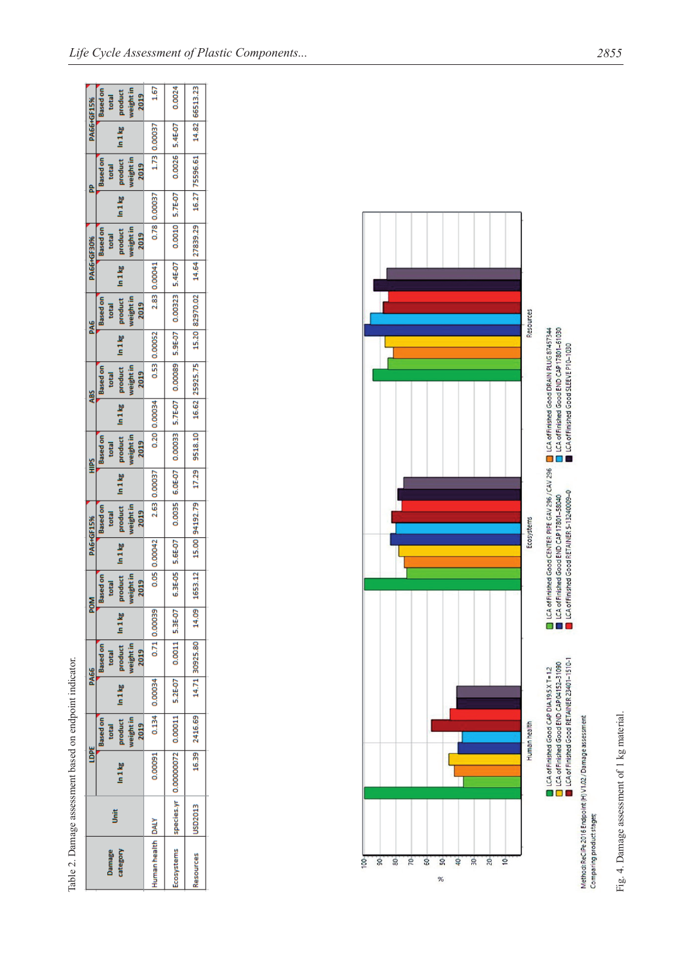| <b>PA66+GF15%</b> | weight in<br><b>Based on</b><br>product<br>2019<br>total                | 1.67              | 0.0024                                                                | 14.82 66513.23                                             |
|-------------------|-------------------------------------------------------------------------|-------------------|-----------------------------------------------------------------------|------------------------------------------------------------|
|                   |                                                                         | 1.73 0.00037      |                                                                       |                                                            |
|                   | product In 1 kg<br>weight in<br><b>Based</b> on<br>2019<br>total        |                   | 0.0026 5.4E-07                                                        | 14.64 27839.29 16.27 75596.61                              |
|                   |                                                                         | 0.78 0.00037      | 0.0010 5.7E-07                                                        |                                                            |
| <b>PA66+GF30%</b> | product In 1kg<br>weight in<br><b>Based on</b><br>2019<br>total         |                   |                                                                       |                                                            |
|                   |                                                                         | 2.83 0.00041      |                                                                       |                                                            |
| PA6               | product In 1kg<br>weight in<br>Based on<br>2019<br>total                |                   | 0.0035  6.0E-07  0.00033  5.7E-07  0.00089  5.9E-07  0.00323  5.4E-07 | 15.00 94192.79 17.29 9518.10 16.62 25925.75 15.20 82970.02 |
|                   |                                                                         | 0.53 0.00052      |                                                                       |                                                            |
| ДBS<br>С          | product In 1kg<br>weight in<br><b>Based</b> on<br>2019<br>total         |                   |                                                                       |                                                            |
|                   | product   In 1 kg                                                       | 0.20 0.00034      |                                                                       |                                                            |
| Ě                 | weight in<br><b>Based on</b><br>2019<br>total                           |                   |                                                                       |                                                            |
|                   | $ln 1$ kg                                                               | 2.63 0.00037      |                                                                       |                                                            |
| PA6+GF15%         | product  <br>weight in<br>-Based on<br>2019<br>total                    |                   |                                                                       |                                                            |
|                   |                                                                         | 0.05 0.00042      | 6.3E-05 5.6E-07                                                       |                                                            |
| <b>MON</b>        | product In 1 kg<br>weight in<br><b>Based on</b><br><b>1019</b><br>botal |                   |                                                                       | 1653.12                                                    |
|                   |                                                                         | 0.71 0.00039      |                                                                       |                                                            |
| <b>PA66</b>       | $product$ $ln 1 kg$<br>weight in<br><b>Based on</b><br>2019<br>total    |                   |                                                                       |                                                            |
|                   | $ln 1$ kg                                                               | 0.134 0.00034     |                                                                       |                                                            |
|                   | product<br>weight in<br><b>Based on</b><br>2019<br>total                |                   |                                                                       | 16.39 2416.69 14.71 30925.80 14.09                         |
| lDPE              | $\frac{1}{8}$                                                           | 0.00091           | species.yr 0.00000072 0.00011 5.2E-07 0.0011 5.3E-07                  |                                                            |
|                   | š                                                                       |                   |                                                                       | USD2013                                                    |
|                   | category<br>Damage                                                      | Human health DALY | Ecosystems                                                            | Resources                                                  |

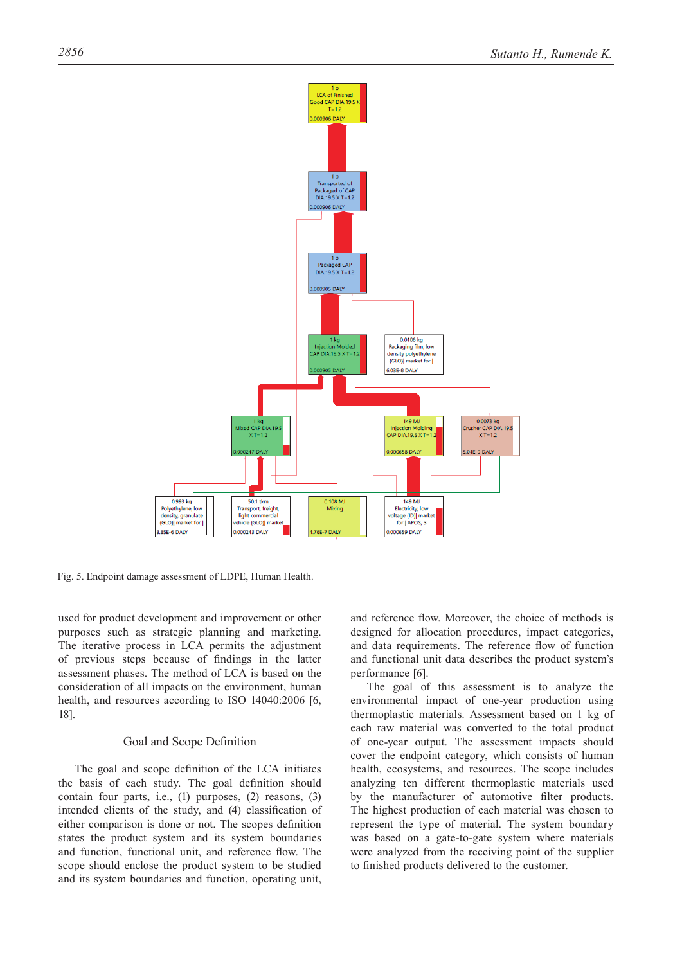

Fig. 5. Endpoint damage assessment of LDPE, Human Health.

used for product development and improvement or other purposes such as strategic planning and marketing. The iterative process in LCA permits the adjustment of previous steps because of findings in the latter assessment phases. The method of LCA is based on the consideration of all impacts on the environment, human health, and resources according to ISO 14040:2006 [6, 18].

#### Goal and Scope Definition

The goal and scope definition of the LCA initiates the basis of each study. The goal definition should contain four parts, i.e., (1) purposes, (2) reasons, (3) intended clients of the study, and (4) classification of either comparison is done or not. The scopes definition states the product system and its system boundaries and function, functional unit, and reference flow. The scope should enclose the product system to be studied and its system boundaries and function, operating unit,

and reference flow. Moreover, the choice of methods is designed for allocation procedures, impact categories, and data requirements. The reference flow of function and functional unit data describes the product system's performance [6].

The goal of this assessment is to analyze the environmental impact of one-year production using thermoplastic materials. Assessment based on 1 kg of each raw material was converted to the total product of one-year output. The assessment impacts should cover the endpoint category, which consists of human health, ecosystems, and resources. The scope includes analyzing ten different thermoplastic materials used by the manufacturer of automotive filter products. The highest production of each material was chosen to represent the type of material. The system boundary was based on a gate-to-gate system where materials were analyzed from the receiving point of the supplier to finished products delivered to the customer.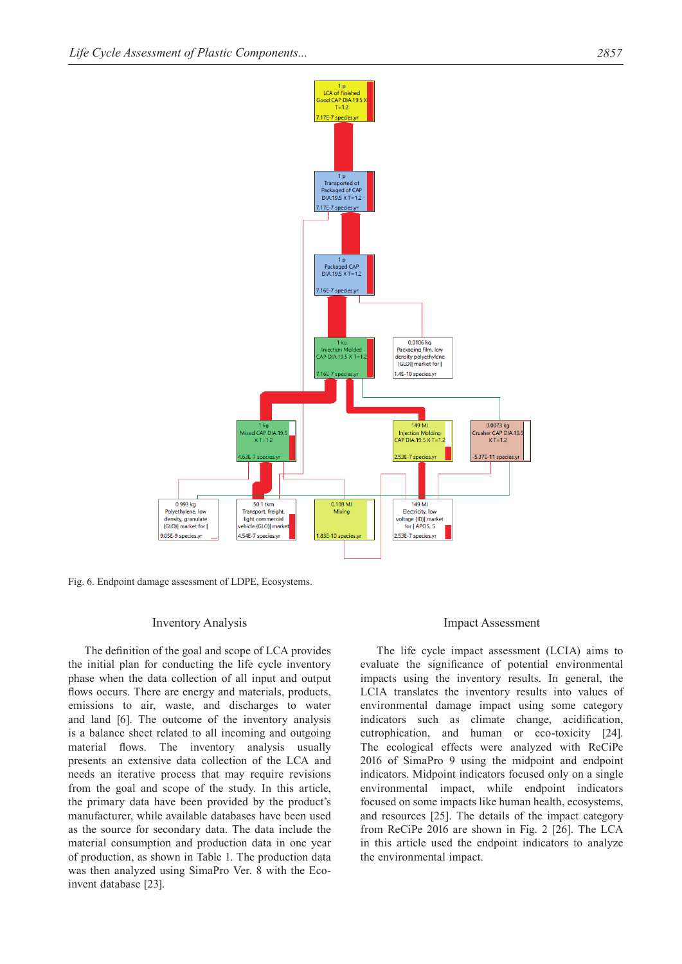

Fig. 6. Endpoint damage assessment of LDPE, Ecosystems.

#### Inventory Analysis

The definition of the goal and scope of LCA provides the initial plan for conducting the life cycle inventory phase when the data collection of all input and output flows occurs. There are energy and materials, products, emissions to air, waste, and discharges to water and land [6]. The outcome of the inventory analysis is a balance sheet related to all incoming and outgoing material flows. The inventory analysis usually presents an extensive data collection of the LCA and needs an iterative process that may require revisions from the goal and scope of the study. In this article, the primary data have been provided by the product's manufacturer, while available databases have been used as the source for secondary data. The data include the material consumption and production data in one year of production, as shown in Table 1. The production data was then analyzed using SimaPro Ver. 8 with the Ecoinvent database [23].

## Impact Assessment

The life cycle impact assessment (LCIA) aims to evaluate the significance of potential environmental impacts using the inventory results. In general, the LCIA translates the inventory results into values of environmental damage impact using some category indicators such as climate change, acidification, eutrophication, and human or eco-toxicity [24]. The ecological effects were analyzed with ReCiPe 2016 of SimaPro 9 using the midpoint and endpoint indicators. Midpoint indicators focused only on a single environmental impact, while endpoint indicators focused on some impacts like human health, ecosystems, and resources [25]. The details of the impact category from ReCiPe 2016 are shown in Fig. 2 [26]. The LCA in this article used the endpoint indicators to analyze the environmental impact.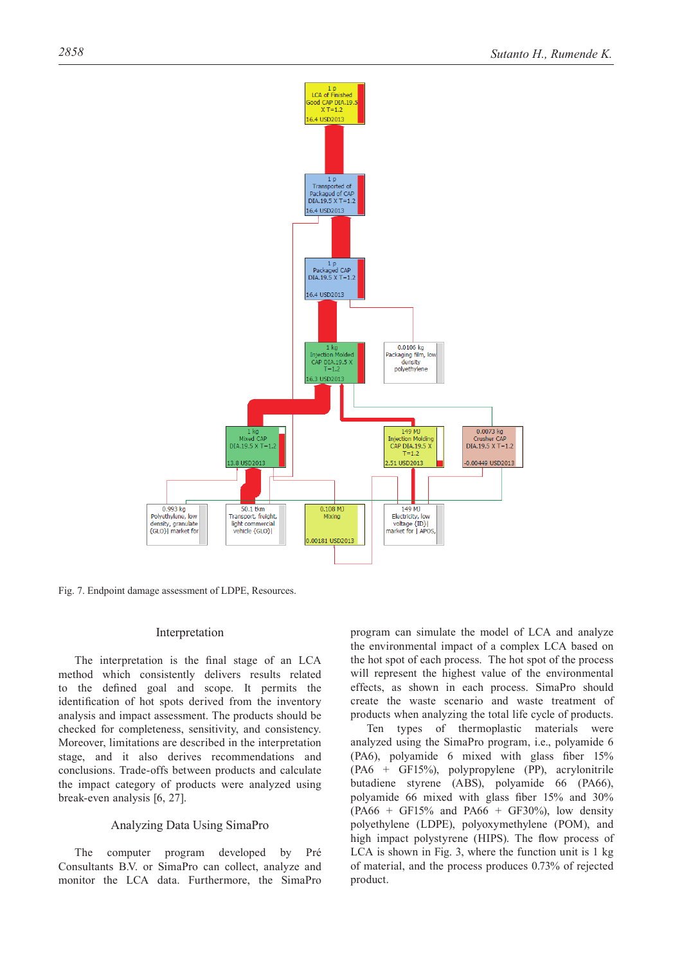

Fig. 7. Endpoint damage assessment of LDPE, Resources.

## Interpretation

The interpretation is the final stage of an LCA method which consistently delivers results related to the defined goal and scope. It permits the identification of hot spots derived from the inventory analysis and impact assessment. The products should be checked for completeness, sensitivity, and consistency. Moreover, limitations are described in the interpretation stage, and it also derives recommendations and conclusions. Trade-offs between products and calculate the impact category of products were analyzed using break-even analysis [6, 27].

## Analyzing Data Using SimaPro

The computer program developed by Pré Consultants B.V. or SimaPro can collect, analyze and monitor the LCA data. Furthermore, the SimaPro program can simulate the model of LCA and analyze the environmental impact of a complex LCA based on the hot spot of each process. The hot spot of the process will represent the highest value of the environmental effects, as shown in each process. SimaPro should create the waste scenario and waste treatment of products when analyzing the total life cycle of products.

Ten types of thermoplastic materials were analyzed using the SimaPro program, i.e., polyamide 6 (PA6), polyamide 6 mixed with glass fiber 15% (PA6 + GF15%), polypropylene (PP), acrylonitrile butadiene styrene (ABS), polyamide 66 (PA66), polyamide 66 mixed with glass fiber 15% and 30%  $(PA66 + GF15\%$  and  $PA66 + GF30\%$ , low density polyethylene (LDPE), polyoxymethylene (POM), and high impact polystyrene (HIPS). The flow process of LCA is shown in Fig. 3, where the function unit is 1 kg of material, and the process produces 0.73% of rejected product.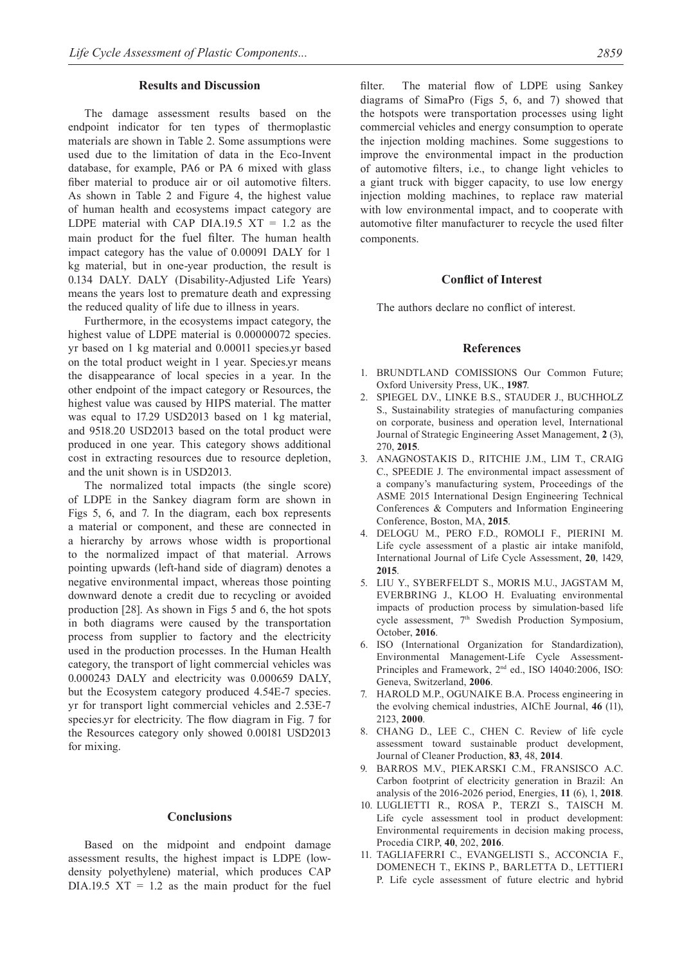#### **Results and Discussion**

The damage assessment results based on the endpoint indicator for ten types of thermoplastic materials are shown in Table 2. Some assumptions were used due to the limitation of data in the Eco-Invent database, for example, PA6 or PA 6 mixed with glass fiber material to produce air or oil automotive filters. As shown in Table 2 and Figure 4, the highest value of human health and ecosystems impact category are LDPE material with CAP DIA.19.5  $XT = 1.2$  as the main product for the fuel filter. The human health impact category has the value of 0.00091 DALY for 1 kg material, but in one-year production, the result is 0.134 DALY. DALY (Disability-Adjusted Life Years) means the years lost to premature death and expressing the reduced quality of life due to illness in years.

Furthermore, in the ecosystems impact category, the highest value of LDPE material is 0.00000072 species. yr based on 1 kg material and 0.00011 species.yr based on the total product weight in 1 year. Species.yr means the disappearance of local species in a year. In the other endpoint of the impact category or Resources, the highest value was caused by HIPS material. The matter was equal to 17.29 USD2013 based on 1 kg material, and 9518.20 USD2013 based on the total product were produced in one year. This category shows additional cost in extracting resources due to resource depletion, and the unit shown is in USD2013.

The normalized total impacts (the single score) of LDPE in the Sankey diagram form are shown in Figs 5, 6, and 7. In the diagram, each box represents a material or component, and these are connected in a hierarchy by arrows whose width is proportional to the normalized impact of that material. Arrows pointing upwards (left-hand side of diagram) denotes a negative environmental impact, whereas those pointing downward denote a credit due to recycling or avoided production [28]. As shown in Figs 5 and 6, the hot spots in both diagrams were caused by the transportation process from supplier to factory and the electricity used in the production processes. In the Human Health category, the transport of light commercial vehicles was 0.000243 DALY and electricity was 0.000659 DALY, but the Ecosystem category produced 4.54E-7 species. yr for transport light commercial vehicles and 2.53E-7 species.yr for electricity. The flow diagram in Fig. 7 for the Resources category only showed 0.00181 USD2013 for mixing.

## **Conclusions**

Based on the midpoint and endpoint damage assessment results, the highest impact is LDPE (lowdensity polyethylene) material, which produces CAP  $DIA.19.5$   $XT = 1.2$  as the main product for the fuel filter. The material flow of LDPE using Sankey diagrams of SimaPro (Figs 5, 6, and 7) showed that the hotspots were transportation processes using light commercial vehicles and energy consumption to operate the injection molding machines. Some suggestions to improve the environmental impact in the production of automotive filters, i.e., to change light vehicles to a giant truck with bigger capacity, to use low energy injection molding machines, to replace raw material with low environmental impact, and to cooperate with automotive filter manufacturer to recycle the used filter components.

#### **Conflict of Interest**

The authors declare no conflict of interest.

### **References**

- 1. BRUNDTLAND COMISSIONS Our Common Future; Oxford University Press, UK., **1987**.
- 2. SPIEGEL D.V., LINKE B.S., STAUDER J., BUCHHOLZ S., Sustainability strategies of manufacturing companies on corporate, business and operation level, International Journal of Strategic Engineering Asset Management, **2** (3), 270, **2015**.
- 3. ANAGNOSTAKIS D., RITCHIE J.M., LIM T., CRAIG C., SPEEDIE J. The environmental impact assessment of a company's manufacturing system, Proceedings of the ASME 2015 International Design Engineering Technical Conferences & Computers and Information Engineering Conference, Boston, MA, **2015**.
- 4. DELOGU M., PERO F.D., ROMOLI F., PIERINI M. Life cycle assessment of a plastic air intake manifold, International Journal of Life Cycle Assessment, **20**, 1429, **2015**.
- 5. LIU Y., SYBERFELDT S., MORIS M.U., JAGSTAM M, EVERBRING J., KLOO H. Evaluating environmental impacts of production process by simulation-based life cycle assessment, 7th Swedish Production Symposium, October, **2016**.
- 6. ISO (International Organization for Standardization), Environmental Management-Life Cycle Assessment-Principles and Framework, 2nd ed., ISO 14040:2006, ISO: Geneva, Switzerland, **2006**.
- 7. HAROLD M.P., OGUNAIKE B.A. Process engineering in the evolving chemical industries, AIChE Journal, **46** (11), 2123, **2000**.
- 8. CHANG D., LEE C., CHEN C. Review of life cycle assessment toward sustainable product development, Journal of Cleaner Production, **83**, 48, **2014**.
- 9. BARROS M.V., PIEKARSKI C.M., FRANSISCO A.C. Carbon footprint of electricity generation in Brazil: An analysis of the 2016-2026 period, Energies, **11** (6), 1, **2018**.
- 10. LUGLIETTI R., ROSA P., TERZI S., TAISCH M. Life cycle assessment tool in product development: Environmental requirements in decision making process, Procedia CIRP, **40**, 202, **2016**.
- 11. TAGLIAFERRI C., EVANGELISTI S., ACCONCIA F., DOMENECH T., EKINS P., BARLETTA D., LETTIERI P. Life cycle assessment of future electric and hybrid